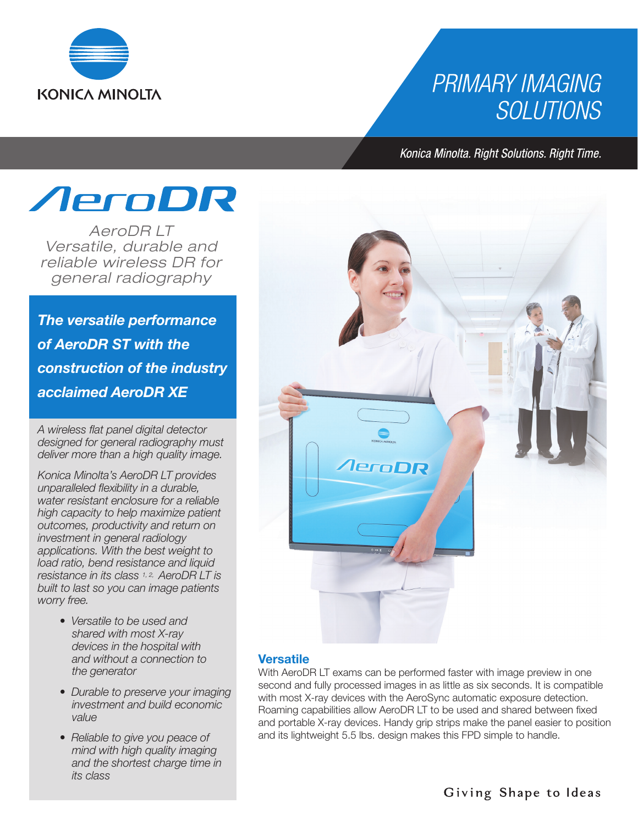

## **PRIMARY IMAGING SOLUTIONS**

Konica Minolta. Right Solutions. Right Time.



*AeroDR LT Versatile, durable and reliable wireless DR for general radiography*

*The versatile performance of AeroDR ST with the construction of the industry acclaimed AeroDR XE*

*A wireless flat panel digital detector designed for general radiography must deliver more than a high quality image.*

*Konica Minolta's AeroDR LT provides unparalleled flexibility in a durable, water resistant enclosure for a reliable high capacity to help maximize patient outcomes, productivity and return on investment in general radiology applications. With the best weight to load ratio, bend resistance and liquid resistance in its class 1, 2, AeroDR LT is built to last so you can image patients worry free.*

- *Versatile to be used and shared with most X-ray devices in the hospital with and without a connection to the generator*
- *Durable to preserve your imaging investment and build economic value*
- *Reliable to give you peace of mind with high quality imaging and the shortest charge time in its class*



#### **Versatile**

With AeroDR LT exams can be performed faster with image preview in one second and fully processed images in as little as six seconds. It is compatible with most X-ray devices with the AeroSync automatic exposure detection. Roaming capabilities allow AeroDR LT to be used and shared between fixed and portable X-ray devices. Handy grip strips make the panel easier to position and its lightweight 5.5 lbs. design makes this FPD simple to handle.